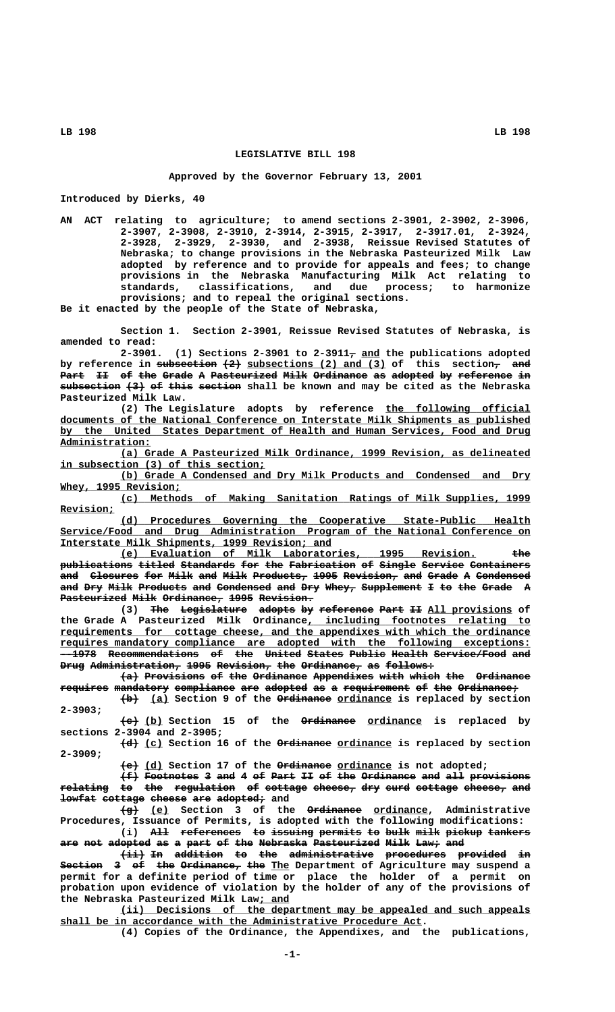## **LEGISLATIVE BILL 198**

## **Approved by the Governor February 13, 2001**

**Introduced by Dierks, 40**

**AN ACT relating to agriculture; to amend sections 2-3901, 2-3902, 2-3906, 2-3907, 2-3908, 2-3910, 2-3914, 2-3915, 2-3917, 2-3917.01, 2-3924, 2-3928, 2-3929, 2-3930, and 2-3938, Reissue Revised Statutes of Nebraska; to change provisions in the Nebraska Pasteurized Milk Law adopted by reference and to provide for appeals and fees; to change provisions in the Nebraska Manufacturing Milk Act relating to standards, classifications, and due process; to harmonize provisions; and to repeal the original sections.**

**Be it enacted by the people of the State of Nebraska,**

**Section 1. Section 2-3901, Reissue Revised Statutes of Nebraska, is amended to read:**

2-3901. (1) Sections 2-3901 to 2-3911 $\tau$  and the publications adopted by reference in subsection  $\{2\}$  subsections (2) and (3) of this section<sub>r</sub> and Part II of the Grade A Pasteurized Milk Ordinance as adopted by reference in  $s$ ubsection (3) of this section shall be known and may be cited as the Nebraska **Pasteurized Milk Law.**

(2) The Legislature adopts by reference the following official  **\_\_\_\_\_\_\_\_\_\_\_\_\_\_\_\_\_\_\_\_\_\_\_\_\_\_\_\_\_\_\_\_\_\_\_\_\_\_\_\_\_\_\_\_\_\_\_\_\_\_\_\_\_\_\_\_\_\_\_\_\_\_\_\_\_\_\_\_\_\_\_\_\_\_\_\_\_\_ documents of the National Conference on Interstate Milk Shipments as published \_\_\_\_\_\_\_\_\_\_\_\_\_\_\_\_\_\_\_\_\_\_\_\_\_\_\_\_\_\_\_\_\_\_\_\_\_\_\_\_\_\_\_\_\_\_\_\_\_\_\_\_\_\_\_\_\_\_\_\_\_\_\_\_\_\_\_\_\_\_\_\_\_\_\_\_\_\_ by the United States Department of Health and Human Services, Food and Drug Administration: \_\_\_\_\_\_\_\_\_\_\_\_\_\_\_**

 **\_\_\_\_\_\_\_\_\_\_\_\_\_\_\_\_\_\_\_\_\_\_\_\_\_\_\_\_\_\_\_\_\_\_\_\_\_\_\_\_\_\_\_\_\_\_\_\_\_\_\_\_\_\_\_\_\_\_\_\_\_\_\_\_\_\_\_\_ (a) Grade A Pasteurized Milk Ordinance, 1999 Revision, as delineated \_\_\_\_\_\_\_\_\_\_\_\_\_\_\_\_\_\_\_\_\_\_\_\_\_\_\_\_\_\_\_\_\_\_ in subsection (3) of this section;**

 **\_\_\_\_\_\_\_\_\_\_\_\_\_\_\_\_\_\_\_\_\_\_\_\_\_\_\_\_\_\_\_\_\_\_\_\_\_\_\_\_\_\_\_\_\_\_\_\_\_\_\_\_\_\_\_\_\_\_\_\_\_\_\_\_\_\_\_\_ (b) Grade A Condensed and Dry Milk Products and Condensed and Dry \_\_\_\_\_\_\_\_\_\_\_\_\_\_\_\_\_\_\_\_ Whey, 1995 Revision;**

 **\_\_\_\_\_\_\_\_\_\_\_\_\_\_\_\_\_\_\_\_\_\_\_\_\_\_\_\_\_\_\_\_\_\_\_\_\_\_\_\_\_\_\_\_\_\_\_\_\_\_\_\_\_\_\_\_\_\_\_\_\_\_\_\_\_\_\_\_ (c) Methods of Making Sanitation Ratings of Milk Supplies, 1999 Revision; \_\_\_\_\_\_\_\_\_**

 **\_\_\_\_\_\_\_\_\_\_\_\_\_\_\_\_\_\_\_\_\_\_\_\_\_\_\_\_\_\_\_\_\_\_\_\_\_\_\_\_\_\_\_\_\_\_\_\_\_\_\_\_\_\_\_\_\_\_\_\_\_\_\_\_\_\_\_\_ (d) Procedures Governing the Cooperative State-Public Health \_\_\_\_\_\_\_\_\_\_\_\_\_\_\_\_\_\_\_\_\_\_\_\_\_\_\_\_\_\_\_\_\_\_\_\_\_\_\_\_\_\_\_\_\_\_\_\_\_\_\_\_\_\_\_\_\_\_\_\_\_\_\_\_\_\_\_\_\_\_\_\_\_\_\_\_\_\_ Service/Food and Drug Administration Program of the National Conference on \_\_\_\_\_\_\_\_\_\_\_\_\_\_\_\_\_\_\_\_\_\_\_\_\_\_\_\_\_\_\_\_\_\_\_\_\_\_\_\_\_\_\_\_\_ Interstate Milk Shipments, 1999 Revision; and**

 **\_\_\_\_\_\_\_\_\_\_\_\_\_\_\_\_\_\_\_\_\_\_\_\_\_\_\_\_\_\_\_\_\_\_\_\_\_\_\_\_\_\_\_\_\_\_\_\_\_\_\_\_\_\_\_\_\_\_\_ ——— (e) Evaluation of Milk Laboratories, 1995 Revision. the publications titled Standards for the Fabrication of Single Service Containers ———————————— —————— ————————— ——— ——— ——————————— —— —————— ——————— —————————** and Closures for Milk and Milk Products, 1995 Revision, and Grade A Condensed and Dry Milk Products and Condensed and Dry Whey, Supplement I to the Grade A **Pasteurized Milk Ordinance, 1995 Revision.** 

> **(3)** The Legislature adopts by reference Part II All provisions of  **\_\_\_\_\_\_\_\_\_\_\_\_\_\_\_\_\_\_\_\_\_\_\_\_\_\_\_\_\_\_\_\_\_\_\_\_\_ the Grade A Pasteurized Milk Ordinance, including footnotes relating to \_\_\_\_\_\_\_\_\_\_\_\_\_\_\_\_\_\_\_\_\_\_\_\_\_\_\_\_\_\_\_\_\_\_\_\_\_\_\_\_\_\_\_\_\_\_\_\_\_\_\_\_\_\_\_\_\_\_\_\_\_\_\_\_\_\_\_\_\_\_\_\_\_\_\_\_\_\_ requirements for cottage cheese, and the appendixes with which the ordinance \_\_\_\_\_\_\_\_\_\_\_\_\_\_\_\_\_\_\_\_\_\_\_\_\_\_\_\_\_\_\_\_\_\_\_\_\_\_\_\_\_\_\_\_\_\_\_\_\_\_\_\_\_\_\_\_\_\_\_\_\_\_\_\_\_\_\_\_\_\_\_\_\_\_\_\_\_\_ requires mandatory compliance are adopted with the following exceptions: --1978 Recommendations of the United States Public Health Service/Food and —————— ——————————————— —— ——— —————— —————— —————— —————— ———————————— ——— Drug Administration, 1995 Revision, the Ordinance, as follows:**

> $(a)$  Provisions of the Ordinance Appendixes with which the Ordinance  ${\tt require}$  mandatory compliance are adopted as a requirement of the Ordinance;

> $\{\pm\}$  (a) Section 9 of the Ordinance ordinance is replaced by section  **2-3903;**

> **——— \_\_\_ ————————— \_\_\_\_\_\_\_\_\_ (c) (b) Section 15 of the Ordinance ordinance is replaced by sections 2-3904 and 2-3905;**

> $\overline{+d}$  (c) Section 16 of the Ordinance ordinance is replaced by section  **2-3909;**

> > $\left\{ \frac{1}{2} \right\}$  (d) Section 17 of the Ordinance ordinance is not adopted;

**(f) Footnotes 3 and 4 of Part II of the Ordinance and all provisions ——— ————————— — ——— — —— ———— —— —— ——— ————————— ——— ——— ——————————**  $\texttt{relative to the regulation of cortex, and the relation}$ **<del>lowfat cottage cheese are adopted;</del> and** 

 $\overline{+g}$  (e) Section 3 of the Ordinance ordinance, Administrative **Procedures, Issuance of Permits, is adopted with the following modifications:** (i) All references to issuing permits to bulk milk pickup tankers

**are not adopted as a part of the Nebraska Pasteurized Milk Law; and ——— ——— ——————— —— — ———— —— ——— ———————— ——————————— ———— ———— ———**

 $\overline{1}$   $\overline{1}$   $\overline{1}$   $\overline{2}$   $\overline{4}$   $\overline{2}$   $\overline{3}$   $\overline{2}$   $\overline{4}$   $\overline{2}$   $\overline{2}$   $\overline{2}$   $\overline{2}$   $\overline{2}$   $\overline{2}$   $\overline{2}$   $\overline{2}$   $\overline{2}$   $\overline{2}$   $\overline{2}$   $\overline{2}$   $\overline{2}$   $\overline{2}$   $\overline{2}$   $\overline{2$ **Section** 3 of the Ordinance, the The Department of Agriculture may suspend a **permit for a definite period of time or place the holder of a permit on probation upon evidence of violation by the holder of any of the provisions of \_\_\_\_\_ the Nebraska Pasteurized Milk Law; and**

 **\_\_\_\_\_\_\_\_\_\_\_\_\_\_\_\_\_\_\_\_\_\_\_\_\_\_\_\_\_\_\_\_\_\_\_\_\_\_\_\_\_\_\_\_\_\_\_\_\_\_\_\_\_\_\_\_\_\_\_\_\_\_\_\_\_\_\_\_ (ii) Decisions of the department may be appealed and such appeals \_\_\_\_\_\_\_\_\_\_\_\_\_\_\_\_\_\_\_\_\_\_\_\_\_\_\_\_\_\_\_\_\_\_\_\_\_\_\_\_\_\_\_\_\_\_\_\_\_\_\_\_\_\_\_\_\_\_\_\_ shall be in accordance with the Administrative Procedure Act.**

**(4) Copies of the Ordinance, the Appendixes, and the publications,**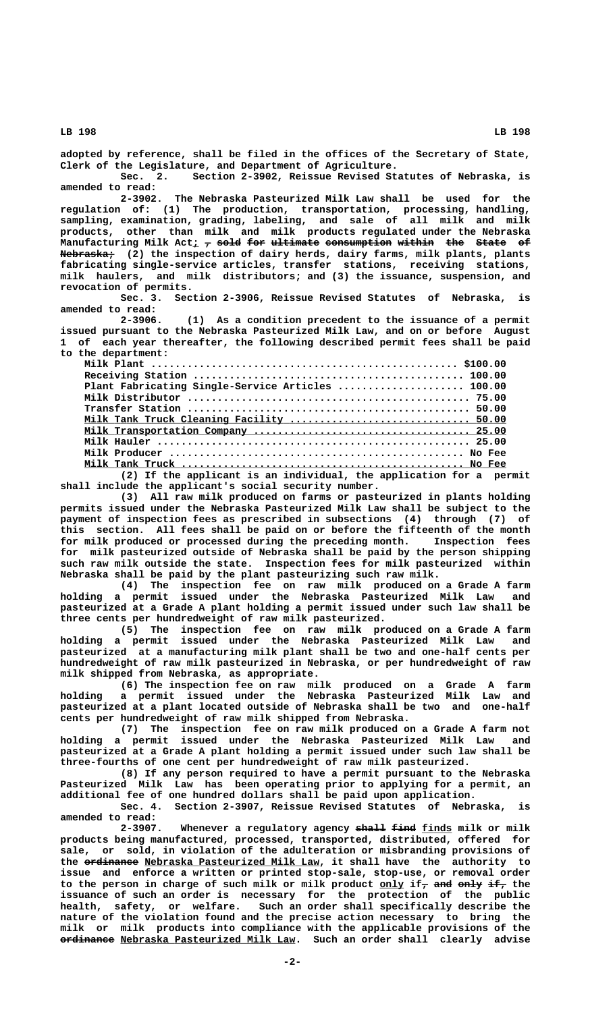**adopted by reference, shall be filed in the offices of the Secretary of State, Clerk of the Legislature, and Department of Agriculture.**

**Sec. 2. Section 2-3902, Reissue Revised Statutes of Nebraska, is amended to read:**

**2-3902. The Nebraska Pasteurized Milk Law shall be used for the regulation of: (1) The production, transportation, processing, handling, sampling, examination, grading, labeling, and sale of all milk and milk products, other than milk and milk products regulated under the Nebraska** Manufacturing Milk Act<sub>i</sub>  $\tau$  sold for ultimate consumption within the State of  **————————— Nebraska; (2) the inspection of dairy herds, dairy farms, milk plants, plants fabricating single-service articles, transfer stations, receiving stations, milk haulers, and milk distributors; and (3) the issuance, suspension, and revocation of permits.**

**Sec. 3. Section 2-3906, Reissue Revised Statutes of Nebraska, is amended to read:**

**2-3906. (1) As a condition precedent to the issuance of a permit issued pursuant to the Nebraska Pasteurized Milk Law, and on or before August 1 of each year thereafter, the following described permit fees shall be paid to the department:**

| Plant Fabricating Single-Service Articles  100.00                                                               |
|-----------------------------------------------------------------------------------------------------------------|
|                                                                                                                 |
|                                                                                                                 |
| Milk Tank Truck Cleaning Facility  50.00                                                                        |
|                                                                                                                 |
|                                                                                                                 |
|                                                                                                                 |
|                                                                                                                 |
| 1000 - 1000 - 1000 - 1000 - 1000 - 1000 - 1000 - 1000 - 1000 - 1000 - 1000 - 1000 - 1000 - 1000 - 1000 - 1000 - |

**(2) If the applicant is an individual, the application for a permit shall include the applicant's social security number.**

**(3) All raw milk produced on farms or pasteurized in plants holding permits issued under the Nebraska Pasteurized Milk Law shall be subject to the payment of inspection fees as prescribed in subsections (4) through (7) of this section. All fees shall be paid on or before the fifteenth of the month for milk produced or processed during the preceding month. Inspection fees for milk pasteurized outside of Nebraska shall be paid by the person shipping such raw milk outside the state. Inspection fees for milk pasteurized within Nebraska shall be paid by the plant pasteurizing such raw milk.**

**(4) The inspection fee on raw milk produced on a Grade A farm holding a permit issued under the Nebraska Pasteurized Milk Law and pasteurized at a Grade A plant holding a permit issued under such law shall be three cents per hundredweight of raw milk pasteurized.**

**(5) The inspection fee on raw milk produced on a Grade A farm holding a permit issued under the Nebraska Pasteurized Milk Law and pasteurized at a manufacturing milk plant shall be two and one-half cents per hundredweight of raw milk pasteurized in Nebraska, or per hundredweight of raw milk shipped from Nebraska, as appropriate.**

**(6) The inspection fee on raw milk produced on a Grade A farm holding a permit issued under the Nebraska Pasteurized Milk Law and pasteurized at a plant located outside of Nebraska shall be two and one-half cents per hundredweight of raw milk shipped from Nebraska.**

**(7) The inspection fee on raw milk produced on a Grade A farm not holding a permit issued under the Nebraska Pasteurized Milk Law and pasteurized at a Grade A plant holding a permit issued under such law shall be three-fourths of one cent per hundredweight of raw milk pasteurized.**

**(8) If any person required to have a permit pursuant to the Nebraska Pasteurized Milk Law has been operating prior to applying for a permit, an additional fee of one hundred dollars shall be paid upon application.**

**Sec. 4. Section 2-3907, Reissue Revised Statutes of Nebraska, is amended to read:**

2-3907. Whenever a regulatory agency shall find finds milk or milk **products being manufactured, processed, transported, distributed, offered for sale, or sold, in violation of the adulteration or misbranding provisions of** the ordinance Nebraska Pasteurized Milk Law, it shall have the authority to **issue and enforce a written or printed stop-sale, stop-use, or removal order** to the person in charge of such milk or milk product <u>only</u> if<sub>7</sub> <del>and only if,</del> the **issuance of such an order is necessary for the protection of the public health, safety, or welfare. Such an order shall specifically describe the nature of the violation found and the precise action necessary to bring the milk or milk products into compliance with the applicable provisions of the <del>ordinance</del> Nebraska Pasteurized Milk Law. Such an order shall clearly advise**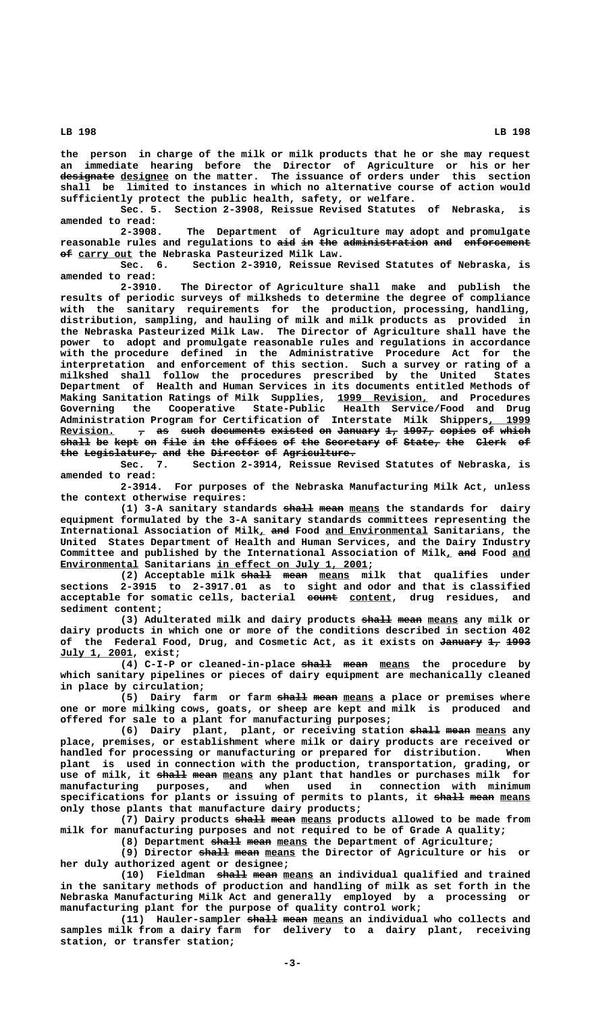**the person in charge of the milk or milk products that he or she may request an immediate hearing before the Director of Agriculture or his or her** designate designee on the matter. The issuance of orders under this section **shall be limited to instances in which no alternative course of action would sufficiently protect the public health, safety, or welfare.**

**Sec. 5. Section 2-3908, Reissue Revised Statutes of Nebraska, is amended to read:**

**2-3908. The Department of Agriculture may adopt and promulgate** reasonable rules and regulations to aid in the administration and enforcement  $\theta$  carry out the Nebraska Pasteurized Milk Law.

**Sec. 6. Section 2-3910, Reissue Revised Statutes of Nebraska, is amended to read:**

**2-3910. The Director of Agriculture shall make and publish the results of periodic surveys of milksheds to determine the degree of compliance with the sanitary requirements for the production, processing, handling, distribution, sampling, and hauling of milk and milk products as provided in the Nebraska Pasteurized Milk Law. The Director of Agriculture shall have the power to adopt and promulgate reasonable rules and regulations in accordance with the procedure defined in the Administrative Procedure Act for the interpretation and enforcement of this section. Such a survey or rating of a milkshed shall follow the procedures prescribed by the United States Department of Health and Human Services in its documents entitled Methods of Making Sanitation Ratings of Milk Supplies, 1999 Revision, and Procedures \_\_\_\_\_\_\_\_\_\_\_\_\_\_\_ Governing the Cooperative State-Public Health Service/Food and Drug** Administration Program for Certification of Interstate Milk Shippers, 1999<br>Revision. 7 <del>as such documents existed on January 1, 1997, copies of which</del>  $\tau$  as such documents existed on January 1, 1997, copies of which shall be kept on file in the offices of the Secretary of State, the Clerk of **the Legislature, and the Director of Agriculture. ——— ———————————— ——— ——— ———————— —— ————————————**

**Sec. 7. Section 2-3914, Reissue Revised Statutes of Nebraska, is amended to read:**

**2-3914. For purposes of the Nebraska Manufacturing Milk Act, unless the context otherwise requires:**

(1) 3-A sanitary standards shall mean means the standards for dairy **equipment formulated by the 3-A sanitary standards committees representing the** International Association of Milk, and Food and Environmental Sanitarians, the **United States Department of Health and Human Services, and the Dairy Industry** Committee and published by the International Association of Milk<sub>4</sub> and Food and  **\_\_\_\_\_\_\_\_\_\_\_\_\_ \_\_\_\_\_\_\_\_\_\_\_\_\_\_\_\_\_\_\_\_\_\_\_\_\_ Environmental Sanitarians in effect on July 1, 2001;**

(2) Acceptable milk shall mean means milk that qualifies under **sections 2-3915 to 2-3917.01 as to sight and odor and that is classified ————— \_\_\_\_\_\_\_ acceptable for somatic cells, bacterial count content, drug residues, and sediment content;**

> (3) Adulterated milk and dairy products shall mean means any milk or **dairy products in which one or more of the conditions described in section 402** of the Federal Food, Drug, and Cosmetic Act, as it exists on January 1, 1993  **\_\_\_\_\_\_\_\_\_\_\_\_ July 1, 2001, exist;**

> (4) C-I-P or cleaned-in-place shall mean means the procedure by **which sanitary pipelines or pieces of dairy equipment are mechanically cleaned in place by circulation;**

> (5) Dairy farm or farm shall mean means a place or premises where **one or more milking cows, goats, or sheep are kept and milk is produced and offered for sale to a plant for manufacturing purposes;**

> (6) Dairy plant, plant, or receiving station shall mean means any **place, premises, or establishment where milk or dairy products are received or handled for processing or manufacturing or prepared for distribution. When plant is used in connection with the production, transportation, grading, or** use of milk, it shall mean means any plant that handles or purchases milk for **manufacturing purposes, and when used in connection with minimum** specifications for plants or issuing of permits to plants, it shall mean means **only those plants that manufacture dairy products;**

> (7) Dairy products shall mean means products allowed to be made from **milk for manufacturing purposes and not required to be of Grade A quality;**

(8) Department shall mean means the Department of Agriculture;

(9) Director shall mean means the Director of Agriculture or his or **her duly authorized agent or designee;**

(10) Fieldman shall mean means an individual qualified and trained **in the sanitary methods of production and handling of milk as set forth in the Nebraska Manufacturing Milk Act and generally employed by a processing or manufacturing plant for the purpose of quality control work;**

(11) Hauler-sampler shall mean means an individual who collects and **samples milk from a dairy farm for delivery to a dairy plant, receiving station, or transfer station;**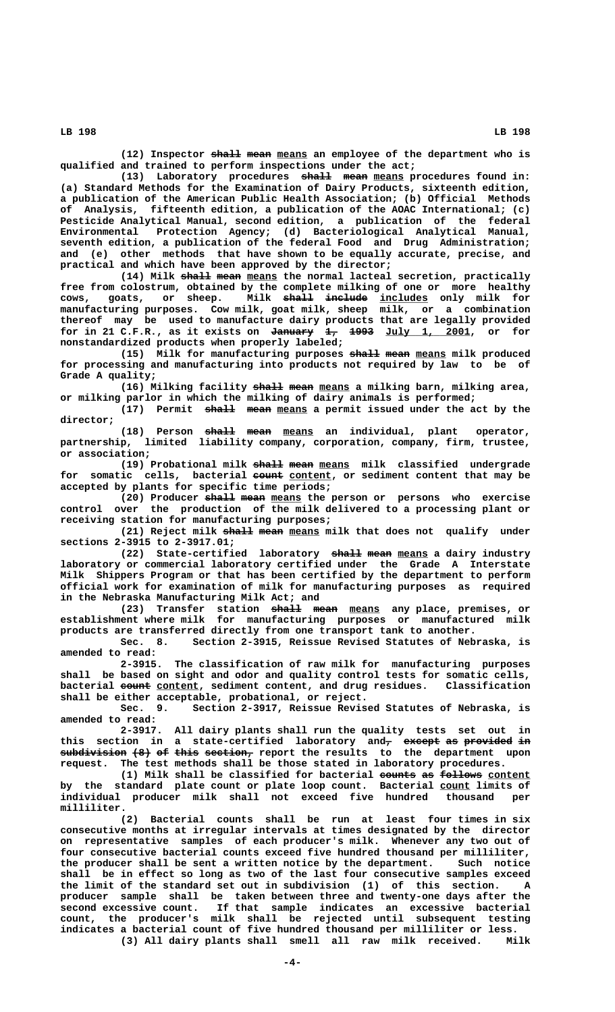(12) Inspector shall mean means an employee of the department who is **qualified and trained to perform inspections under the act;**

(13) Laboratory procedures shall mean means procedures found in: **(a) Standard Methods for the Examination of Dairy Products, sixteenth edition, a publication of the American Public Health Association; (b) Official Methods of Analysis, fifteenth edition, a publication of the AOAC International; (c) Pesticide Analytical Manual, second edition, a publication of the federal Environmental Protection Agency; (d) Bacteriological Analytical Manual, seventh edition, a publication of the federal Food and Drug Administration; and (e) other methods that have shown to be equally accurate, precise, and practical and which have been approved by the director;**

(14) Milk shall mean means the normal lacteal secretion, practically **free from colostrum, obtained by the complete milking of one or more healthy** cows, goats, or sheep. Milk <del>shall include</del> includes only milk for **manufacturing purposes. Cow milk, goat milk, sheep milk, or a combination thereof may be used to manufacture dairy products that are legally provided** for in 21 C.F.R., as it exists on <del>January</del>  $\frac{1}{4}$   $\frac{1993}{101}$   $\frac{101y}{1}$  2001, or for **nonstandardized products when properly labeled;**

(15) Milk for manufacturing purposes shall mean means milk produced **for processing and manufacturing into products not required by law to be of Grade A quality;**

(16) Milking facility <del>shall</del> mean means a milking barn, milking area, **or milking parlor in which the milking of dairy animals is performed;**

(17) Permit shall mean means a permit issued under the act by the  **director;**

(18) Person shall mean means an individual, plant operator, **partnership, limited liability company, corporation, company, firm, trustee, or association;**

(19) Probational milk shall mean means milk classified undergrade for somatic cells, bacterial <del>count</del> content, or sediment content that may be **accepted by plants for specific time periods;**

(20) Producer shall mean means the person or persons who exercise **control over the production of the milk delivered to a processing plant or receiving station for manufacturing purposes;**

**(21) Reject milk shall mean means milk that does not qualify under sections 2-3915 to 2-3917.01;**

(22) State-certified laboratory <del>shall mean</del> means a dairy industry **laboratory or commercial laboratory certified under the Grade A Interstate Milk Shippers Program or that has been certified by the department to perform official work for examination of milk for manufacturing purposes as required in the Nebraska Manufacturing Milk Act; and**

(23) Transfer station <del>shall</del> mean means any place, premises, or **establishment where milk for manufacturing purposes or manufactured milk products are transferred directly from one transport tank to another.**

**Sec. 8. Section 2-3915, Reissue Revised Statutes of Nebraska, is amended to read:**

**2-3915. The classification of raw milk for manufacturing purposes shall be based on sight and odor and quality control tests for somatic cells,** bacterial <del>count</del> content, sediment content, and drug residues. Classification **shall be either acceptable, probational, or reject.**

**Sec. 9. Section 2-3917, Reissue Revised Statutes of Nebraska, is amended to read:**

**2-3917. All dairy plants shall run the quality tests set out in** this section in a state-certified laboratory and<del>, except as provided in</del>  $\overline{\textbf{subdivision}}$  <del>(8)</del> of this section, report the results to the department upon **request. The test methods shall be those stated in laboratory procedures.**

(1) Milk shall be classified for bacterial counts as follows content by the standard plate count or plate loop count. Bacterial **count limits** of **individual producer milk shall not exceed five hundred thousand per**

 **milliliter. (2) Bacterial counts shall be run at least four times in six consecutive months at irregular intervals at times designated by the director on representative samples of each producer's milk. Whenever any two out of four consecutive bacterial counts exceed five hundred thousand per milliliter,** the producer shall be sent a written notice by the department. **shall be in effect so long as two of the last four consecutive samples exceed the limit of the standard set out in subdivision (1) of this section. A producer sample shall be taken between three and twenty-one days after the second excessive count. If that sample indicates an excessive bacterial count, the producer's milk shall be rejected until subsequent testing indicates a bacterial count of five hundred thousand per milliliter or less. (3) All dairy plants shall smell all raw milk received. Milk**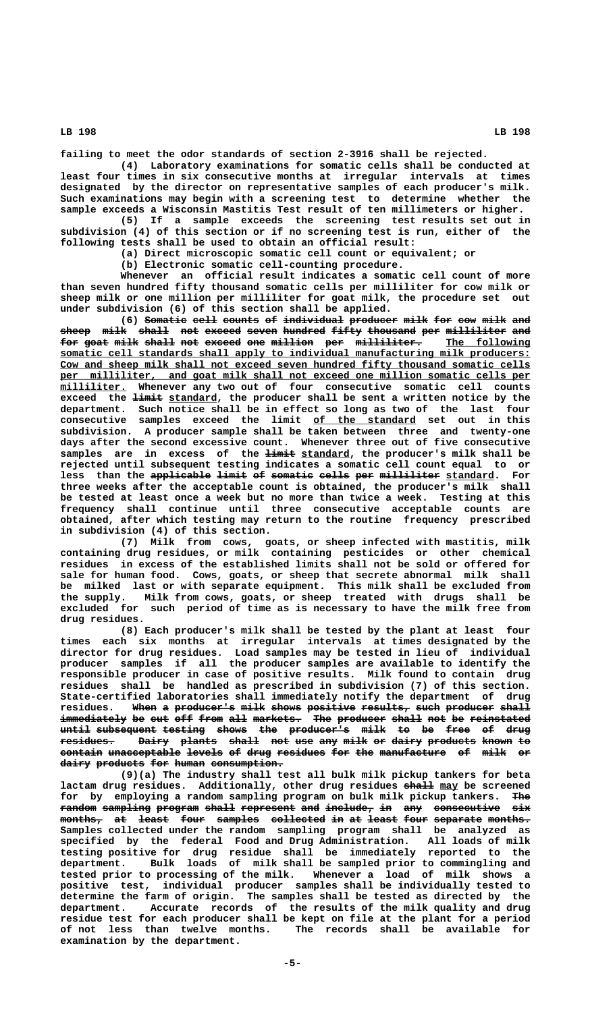**failing to meet the odor standards of section 2-3916 shall be rejected.**

**(4) Laboratory examinations for somatic cells shall be conducted at least four times in six consecutive months at irregular intervals at times designated by the director on representative samples of each producer's milk. Such examinations may begin with a screening test to determine whether the sample exceeds a Wisconsin Mastitis Test result of ten millimeters or higher.**

**(5) If a sample exceeds the screening test results set out in subdivision (4) of this section or if no screening test is run, either of the following tests shall be used to obtain an official result:**

**(a) Direct microscopic somatic cell count or equivalent; or**

**(b) Electronic somatic cell-counting procedure.**

**Whenever an official result indicates a somatic cell count of more than seven hundred fifty thousand somatic cells per milliliter for cow milk or sheep milk or one million per milliliter for goat milk, the procedure set out under subdivision (6) of this section shall be applied.**

**(6)** Somatic cell counts of individual producer milk for cow milk and sheep milk shall not exceed seven hundred fifty thousand per milliliter and for goat milk shall not exceed one million per milliliter. The following  **\_\_\_\_\_\_\_\_\_\_\_\_\_\_\_\_\_\_\_\_\_\_\_\_\_\_\_\_\_\_\_\_\_\_\_\_\_\_\_\_\_\_\_\_\_\_\_\_\_\_\_\_\_\_\_\_\_\_\_\_\_\_\_\_\_\_\_\_\_\_\_\_\_\_\_\_\_\_ somatic cell standards shall apply to individual manufacturing milk producers: \_\_\_\_\_\_\_\_\_\_\_\_\_\_\_\_\_\_\_\_\_\_\_\_\_\_\_\_\_\_\_\_\_\_\_\_\_\_\_\_\_\_\_\_\_\_\_\_\_\_\_\_\_\_\_\_\_\_\_\_\_\_\_\_\_\_\_\_\_\_\_\_\_\_\_\_\_\_ Cow and sheep milk shall not exceed seven hundred fifty thousand somatic cells \_\_\_\_\_\_\_\_\_\_\_\_\_\_\_\_\_\_\_\_\_\_\_\_\_\_\_\_\_\_\_\_\_\_\_\_\_\_\_\_\_\_\_\_\_\_\_\_\_\_\_\_\_\_\_\_\_\_\_\_\_\_\_\_\_\_\_\_\_\_\_\_\_\_\_\_\_\_ per milliliter, and goat milk shall not exceed one million somatic cells per \_\_\_\_\_\_\_\_\_\_\_ milliliter. Whenever any two out of four consecutive somatic cell counts** exceed the  $\frac{1+n+i}{1}$  standard, the producer shall be sent a written notice by the **department. Such notice shall be in effect so long as two of the last four \_\_\_\_\_\_\_\_\_\_\_\_\_\_\_\_\_ consecutive samples exceed the limit of the standard set out in this subdivision. A producer sample shall be taken between three and twenty-one days after the second excessive count. Whenever three out of five consecutive** samples are in excess of the  $\frac{1 \text{ i} m + 1}{2}$  standard, the producer's milk shall be **rejected until subsequent testing indicates a somatic cell count equal to or** less than the applicable limit of somatic cells per milliliter standard. For **three weeks after the acceptable count is obtained, the producer's milk shall be tested at least once a week but no more than twice a week. Testing at this frequency shall continue until three consecutive acceptable counts are obtained, after which testing may return to the routine frequency prescribed in subdivision (4) of this section.**

**(7) Milk from cows, goats, or sheep infected with mastitis, milk containing drug residues, or milk containing pesticides or other chemical residues in excess of the established limits shall not be sold or offered for sale for human food. Cows, goats, or sheep that secrete abnormal milk shall be milked last or with separate equipment. This milk shall be excluded from the supply. Milk from cows, goats, or sheep treated with drugs shall be excluded for such period of time as is necessary to have the milk free from drug residues.**

**(8) Each producer's milk shall be tested by the plant at least four times each six months at irregular intervals at times designated by the director for drug residues. Load samples may be tested in lieu of individual producer samples if all the producer samples are available to identify the responsible producer in case of positive results. Milk found to contain drug residues shall be handled as prescribed in subdivision (7) of this section. State-certified laboratories shall immediately notify the department of drug** residues. When a producer's milk shows positive results, such producer shall immediately be cut off from all markets. The producer shall not be reinstated **until subsequent testing shows the producer's milk to be free of drug ————— —————————— ——————— ————— ——— —————————— ———— —— —— ———— —— ———** residues. Dairy plants shall not use any milk or dairy products known to contain unacceptable levels of drug residues for the manufacture of milk or dairy products for human consumption.

**(9)(a) The industry shall test all bulk milk pickup tankers for beta** lactam drug residues. Additionally, other drug residues shall may be screened for by employing a random sampling program on bulk milk pickup tankers. The random sampling program shall represent and include, in any consecutive six  $\text{months}$  at least four samples collected in at least four separate months. **Samples collected under the random sampling program shall be analyzed as specified by the federal Food and Drug Administration. All loads of milk testing positive for drug residue shall be immediately reported to the department. Bulk loads of milk shall be sampled prior to commingling and tested prior to processing of the milk. Whenever a load of milk shows a positive test, individual producer samples shall be individually tested to determine the farm of origin. The samples shall be tested as directed by the department. Accurate records of the results of the milk quality and drug residue test for each producer shall be kept on file at the plant for a period of not less than twelve months. The records shall be available for examination by the department.**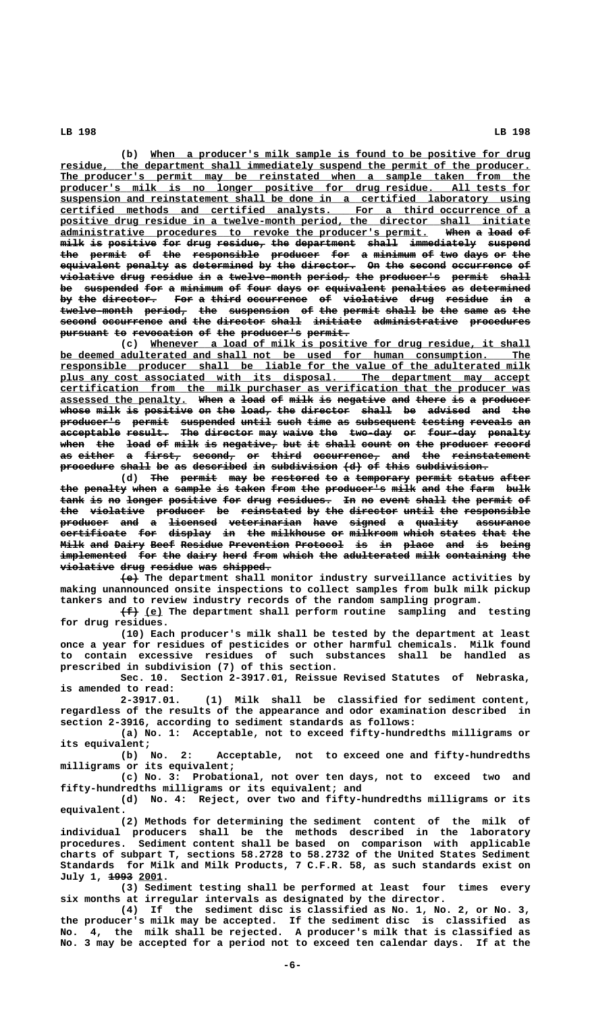**\_\_\_\_\_\_\_\_\_\_\_\_\_\_\_\_\_\_\_\_\_\_\_\_\_\_\_\_\_\_\_\_\_\_\_\_\_\_\_\_\_\_\_\_\_\_\_\_\_\_\_\_\_\_\_\_\_\_\_\_\_\_\_ (b) When a producer's milk sample is found to be positive for drug \_\_\_\_\_\_\_\_\_\_\_\_\_\_\_\_\_\_\_\_\_\_\_\_\_\_\_\_\_\_\_\_\_\_\_\_\_\_\_\_\_\_\_\_\_\_\_\_\_\_\_\_\_\_\_\_\_\_\_\_\_\_\_\_\_\_\_\_\_\_\_\_\_\_\_\_\_\_ residue, the department shall immediately suspend the permit of the producer.** The producer's permit may be reinstated when a sample taken from the  **\_\_\_\_\_\_\_\_\_\_\_\_\_\_\_\_\_\_\_\_\_\_\_\_\_\_\_\_\_\_\_\_\_\_\_\_\_\_\_\_\_\_\_\_\_\_\_\_\_\_\_\_\_\_\_\_\_\_\_\_\_\_\_\_\_\_\_\_\_\_\_\_\_\_\_\_\_\_ producer's milk is no longer positive for drug residue. All tests for EXECUTE: EXECUTE: EXECUTE: SUSPENSION and reinstatement shall be done in a certified laboratory using certified methods and certified analysts. For a third occurrence of a**  $certified$  methods and certified analysts.</u> positive drug residue in a twelve-month period, the director shall initiate **administrative procedures to revoke the producer's permit. When a load of \_\_\_\_\_\_\_\_\_\_\_\_\_\_\_\_\_\_\_\_\_\_\_\_\_\_\_\_\_\_\_\_\_\_\_\_\_\_\_\_\_\_\_\_\_\_\_\_\_\_\_\_\_\_\_\_\_\_\_\_\_ ———— — ———— ——**  $\begin{array}{llll} \text{milk is positive for drug residue, the department shall immediately suspended} \end{array}$ **the permit of the responsible producer for a minimum of two days or the ——— —————— —— ——— ——————————— ———————— ——— — ——————— —— ——— ———— —— —— equivalent penalty as determined by the director. On the second occurrence of —————————— ——————— —— —————————— —— ——— ————————— —— ——— —————— —————————— —**  $violetive$  drug residue in a twelve-month period, the producer's permit shall be suspended for a minimum of four days or equivalent penalties as determined by the director. For a third occurrence of violative drug residue in a twelve-month period, the suspension of the permit shall be the same as the  $\boldsymbol{\text{second}}$  occurrence and the director shall initiate administrative procedures pursuant to revocation of the producer's permit.

 **\_\_\_\_\_\_\_\_\_\_\_\_\_\_\_\_\_\_\_\_\_\_\_\_\_\_\_\_\_\_\_\_\_\_\_\_\_\_\_\_\_\_\_\_\_\_\_\_\_\_\_\_\_\_\_\_\_\_\_\_\_\_\_ (c) Whenever a load of milk is positive for drug residue, it shall \_\_\_\_\_\_\_\_\_\_\_\_\_\_\_\_\_\_\_\_\_\_\_\_\_\_\_\_\_\_\_\_\_\_\_\_\_\_\_\_\_\_\_\_\_\_\_\_\_\_\_\_\_\_\_\_\_\_\_\_\_\_\_\_\_\_\_\_\_\_\_\_\_\_\_\_\_\_ be deemed adulterated and shall not be used for human consumption. The \_\_\_\_\_\_\_\_\_\_\_\_\_\_\_\_\_\_\_\_\_\_\_\_\_\_\_\_\_\_\_\_\_\_\_\_\_\_\_\_\_\_\_\_\_\_\_\_\_\_\_\_\_\_\_\_\_\_\_\_\_\_\_\_\_\_\_\_\_\_\_\_\_\_\_\_\_\_ responsible producer shall be liable for the value of the adulterated milk \_\_\_\_\_\_\_\_\_\_\_\_\_\_\_\_\_\_\_\_\_\_\_\_\_\_\_\_\_\_\_\_\_\_\_\_\_\_\_\_\_\_\_\_\_\_\_\_\_\_\_\_\_\_\_\_\_\_\_\_\_\_\_\_\_\_\_\_\_\_\_\_\_\_\_\_\_\_ plus any cost associated with its disposal. The department may accept \_\_\_\_\_\_\_\_\_\_\_\_\_\_\_\_\_\_\_\_\_\_\_\_\_\_\_\_\_\_\_\_\_\_\_\_\_\_\_\_\_\_\_\_\_\_\_\_\_\_\_\_\_\_\_\_\_\_\_\_\_\_\_\_\_\_\_\_\_\_\_\_\_\_\_\_\_\_ certification from the milk purchaser as verification that the producer was assessed the penalty. When a load of milk is negative and there is a producer \_\_\_\_\_\_\_\_\_\_\_\_\_\_\_\_\_\_\_\_\_ ———— — ———— —— ———— —— ———————— ——— ————— —— — ———————** whose milk is positive on the load, the director shall be advised and the producer's permit suspended until such time as subsequent testing reveals an acceptable result. The director may waive the two-day or four-day penalty when the load of milk is negative, but it shall count on the producer record as either a first, second, or third occurrence, and the reinstatement procedure shall be as described in subdivision (d) of this subdivision.

> (d) The permit may be restored to a temporary permit status after the penalty when a sample is taken from the producer's milk and the farm bulk tank is no longer positive for drug residues. In no event shall the permit of the violative producer be reinstated by the director until the responsible producer and a <del>licensed veterinarian</del> have signed a quality assurance certificate for display in the milkhouse or milkroom which states that the **Milk and Dairy Beef Residue Prevention Protocol is in place and is being** implemented for the dairy herd from which the adulterated milk containing the **violative drug residue was shipped.**

> **——— (e) The department shall monitor industry surveillance activities by making unannounced onsite inspections to collect samples from bulk milk pickup tankers and to review industry records of the random sampling program.**

> $\{\text{f}\}\$  (e) The department shall perform routine sampling and testing **for drug residues.**

> **(10) Each producer's milk shall be tested by the department at least once a year for residues of pesticides or other harmful chemicals. Milk found to contain excessive residues of such substances shall be handled as prescribed in subdivision (7) of this section.**

> **Sec. 10. Section 2-3917.01, Reissue Revised Statutes of Nebraska, is amended to read:**

> **2-3917.01. (1) Milk shall be classified for sediment content, regardless of the results of the appearance and odor examination described in section 2-3916, according to sediment standards as follows:**

> **(a) No. 1: Acceptable, not to exceed fifty-hundredths milligrams or**

its equivalent;<br>(b) No. 2: **(b) No. 2: Acceptable, not to exceed one and fifty-hundredths milligrams or its equivalent;**

**(c) No. 3: Probational, not over ten days, not to exceed two and fifty-hundredths milligrams or its equivalent; and**

**(d) No. 4: Reject, over two and fifty-hundredths milligrams or its equivalent.**

**(2) Methods for determining the sediment content of the milk of individual producers shall be the methods described in the laboratory procedures. Sediment content shall be based on comparison with applicable charts of subpart T, sections 58.2728 to 58.2732 of the United States Sediment Standards for Milk and Milk Products, 7 C.F.R. 58, as such standards exist on ———— \_\_\_\_ July 1, 1993 2001.**

**(3) Sediment testing shall be performed at least four times every six months at irregular intervals as designated by the director.**

**(4) If the sediment disc is classified as No. 1, No. 2, or No. 3, the producer's milk may be accepted. If the sediment disc is classified as No. 4, the milk shall be rejected. A producer's milk that is classified as No. 3 may be accepted for a period not to exceed ten calendar days. If at the**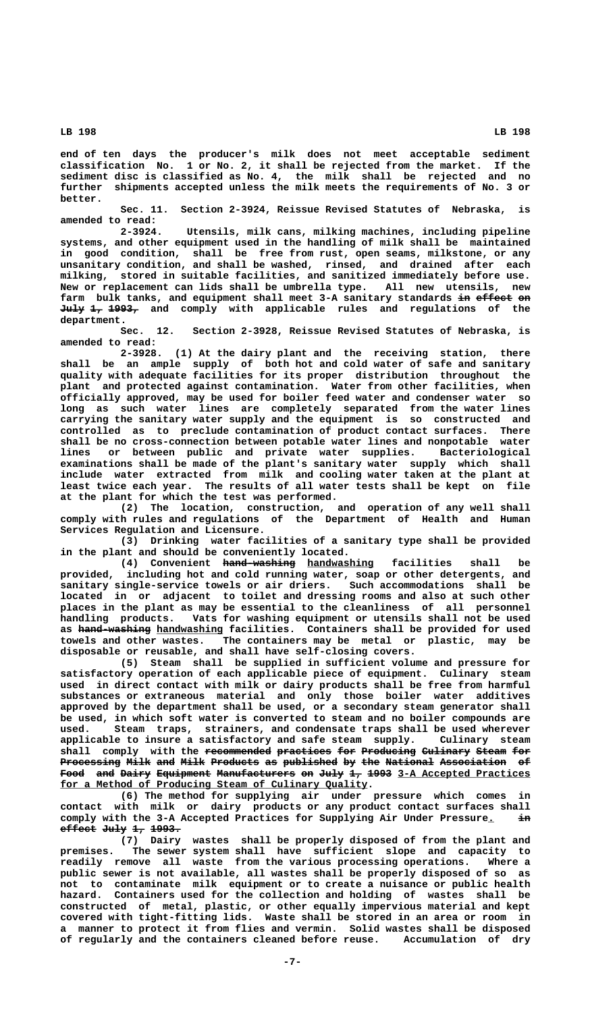**end of ten days the producer's milk does not meet acceptable sediment classification No. 1 or No. 2, it shall be rejected from the market. If the sediment disc is classified as No. 4, the milk shall be rejected and no further shipments accepted unless the milk meets the requirements of No. 3 or better.**

**Sec. 11. Section 2-3924, Reissue Revised Statutes of Nebraska, is amended to read:**

**2-3924. Utensils, milk cans, milking machines, including pipeline systems, and other equipment used in the handling of milk shall be maintained in good condition, shall be free from rust, open seams, milkstone, or any unsanitary condition, and shall be washed, rinsed, and drained after each milking, stored in suitable facilities, and sanitized immediately before use. New or replacement can lids shall be umbrella type. All new utensils, new** farm bulk tanks, and equipment shall meet 3-A sanitary standards in effect on **July 1, 1993, and comply with applicable rules and regulations of the ———— —— ———— department.**

**Sec. 12. Section 2-3928, Reissue Revised Statutes of Nebraska, is amended to read:**

2-3928. (1) At the dairy plant and the receiving station, **shall be an ample supply of both hot and cold water of safe and sanitary quality with adequate facilities for its proper distribution throughout the plant and protected against contamination. Water from other facilities, when officially approved, may be used for boiler feed water and condenser water so long as such water lines are completely separated from the water lines carrying the sanitary water supply and the equipment is so constructed and controlled as to preclude contamination of product contact surfaces. There shall be no cross-connection between potable water lines and nonpotable water lines or between public and private water supplies. Bacteriological examinations shall be made of the plant's sanitary water supply which shall include water extracted from milk and cooling water taken at the plant at least twice each year. The results of all water tests shall be kept on file at the plant for which the test was performed.**

**(2) The location, construction, and operation of any well shall comply with rules and regulations of the Department of Health and Human Services Regulation and Licensure.**

**(3) Drinking water facilities of a sanitary type shall be provided in the plant and should be conveniently located.**

(4) Convenient <del>hand-washing</del> <u>handwashing</u> facilities shall be **provided, including hot and cold running water, soap or other detergents, and sanitary single-service towels or air driers. Such accommodations shall be located in or adjacent to toilet and dressing rooms and also at such other places in the plant as may be essential to the cleanliness of all personnel handling products. Vats for washing equipment or utensils shall not be used** as hand washing handwashing facilities. Containers shall be provided for used **towels and other wastes. The containers may be metal or plastic, may be disposable or reusable, and shall have self-closing covers.**

**(5) Steam shall be supplied in sufficient volume and pressure for satisfactory operation of each applicable piece of equipment. Culinary steam used in direct contact with milk or dairy products shall be free from harmful substances or extraneous material and only those boiler water additives approved by the department shall be used, or a secondary steam generator shall be used, in which soft water is converted to steam and no boiler compounds are used. Steam traps, strainers, and condensate traps shall be used wherever applicable to insure a satisfactory and safe steam supply. Culinary steam** shall comply with the <del>recommended practices for</del> Producing Culinary Steam for Processing Milk and Milk Products as published by the National Association of Food and Dairy Equipment Manufacturers on July 1, 1993 3-A Accepted Practices  **\_\_\_\_\_\_\_\_\_\_\_\_\_\_\_\_\_\_\_\_\_\_\_\_\_\_\_\_\_\_\_\_\_\_\_\_\_\_\_\_\_\_\_\_\_\_\_\_\_\_\_ for a Method of Producing Steam of Culinary Quality.**

**(6) The method for supplying air under pressure which comes in contact with milk or dairy products or any product contact surfaces shall** comply with the 3-A Accepted Practices for Supplying Air Under Pressure.  $\frac{1}{2}$ **effect July 1, 1993. —————— ———— —— —————**

**(7) Dairy wastes shall be properly disposed of from the plant and premises. The sewer system shall have sufficient slope and capacity to readily remove all waste from the various processing operations. Where a public sewer is not available, all wastes shall be properly disposed of so as not to contaminate milk equipment or to create a nuisance or public health hazard. Containers used for the collection and holding of wastes shall be constructed of metal, plastic, or other equally impervious material and kept covered with tight-fitting lids. Waste shall be stored in an area or room in a manner to protect it from flies and vermin. Solid wastes shall be disposed of regularly and the containers cleaned before reuse. Accumulation of dry**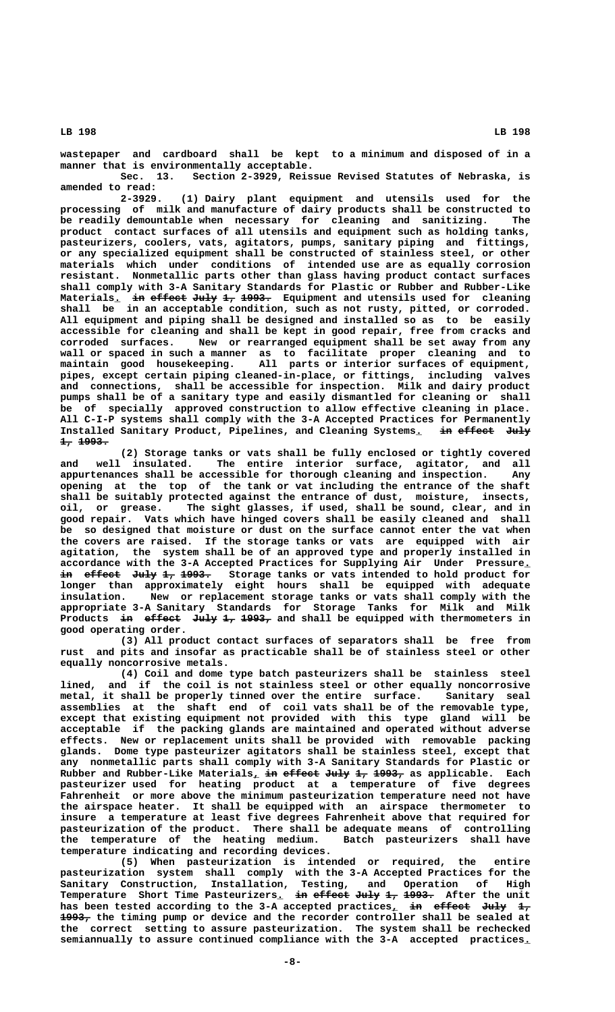**wastepaper and cardboard shall be kept to a minimum and disposed of in a manner that is environmentally acceptable.**

**Sec. 13. Section 2-3929, Reissue Revised Statutes of Nebraska, is amended to read:**

**2-3929. (1) Dairy plant equipment and utensils used for the processing of milk and manufacture of dairy products shall be constructed to be readily demountable when necessary for cleaning and sanitizing. The product contact surfaces of all utensils and equipment such as holding tanks, pasteurizers, coolers, vats, agitators, pumps, sanitary piping and fittings, or any specialized equipment shall be constructed of stainless steel, or other materials which under conditions of intended use are as equally corrosion resistant. Nonmetallic parts other than glass having product contact surfaces shall comply with 3-A Sanitary Standards for Plastic or Rubber and Rubber-Like** Materials<sub>1</sub> in effect July 1, 1993. Equipment and utensils used for cleaning **shall be in an acceptable condition, such as not rusty, pitted, or corroded. All equipment and piping shall be designed and installed so as to be easily accessible for cleaning and shall be kept in good repair, free from cracks and corroded surfaces. New or rearranged equipment shall be set away from any wall or spaced in such a manner as to facilitate proper cleaning and to maintain good housekeeping. All parts or interior surfaces of equipment, pipes, except certain piping cleaned-in-place, or fittings, including valves and connections, shall be accessible for inspection. Milk and dairy product pumps shall be of a sanitary type and easily dismantled for cleaning or shall be of specially approved construction to allow effective cleaning in place. All C-I-P systems shall comply with the 3-A Accepted Practices for Permanently** Installed Sanitary Product, Pipelines, and Cleaning Systems. in effect July  **1, 1993. —— —————**

**(2) Storage tanks or vats shall be fully enclosed or tightly covered and well insulated. The entire interior surface, agitator, and all appurtenances shall be accessible for thorough cleaning and inspection. Any opening at the top of the tank or vat including the entrance of the shaft shall be suitably protected against the entrance of dust, moisture, insects, oil, or grease. The sight glasses, if used, shall be sound, clear, and in good repair. Vats which have hinged covers shall be easily cleaned and shall be so designed that moisture or dust on the surface cannot enter the vat when the covers are raised. If the storage tanks or vats are equipped with air agitation, the system shall be of an approved type and properly installed in accordance with the 3-A Accepted Practices for Supplying Air Under Pressure.\_ in effect July 1, 1993. Storage tanks or vats intended to hold product for —— —————— ———— —— ———— longer than approximately eight hours shall be equipped with adequate insulation. New or replacement storage tanks or vats shall comply with the appropriate 3-A Sanitary Standards for Storage Tanks for Milk and Milk** Products in effect July 1, 1993, and shall be equipped with thermometers in **good operating order.**

**(3) All product contact surfaces of separators shall be free from rust and pits and insofar as practicable shall be of stainless steel or other equally noncorrosive metals.**

**(4) Coil and dome type batch pasteurizers shall be stainless steel lined, and if the coil is not stainless steel or other equally noncorrosive metal, it shall be properly tinned over the entire surface. Sanitary seal assemblies at the shaft end of coil vats shall be of the removable type, except that existing equipment not provided with this type gland will be acceptable if the packing glands are maintained and operated without adverse effects. New or replacement units shall be provided with removable packing glands. Dome type pasteurizer agitators shall be stainless steel, except that any nonmetallic parts shall comply with 3-A Sanitary Standards for Plastic or** Rubber and Rubber-Like Materials<sub>*L*</sub> in effect July 1, 1993, as applicable. Each **pasteurizer used for heating product at a temperature of five degrees Fahrenheit or more above the minimum pasteurization temperature need not have the airspace heater. It shall be equipped with an airspace thermometer to insure a temperature at least five degrees Fahrenheit above that required for pasteurization of the product. There shall be adequate means of controlling** the temperature of the heating medium. **temperature indicating and recording devices.**

**(5) When pasteurization is intended or required, the entire pasteurization system shall comply with the 3-A Accepted Practices for the Sanitary Construction, Installation, Testing, and Operation of High** Temperature Short Time Pasteurizers<u>. i<del>n</del> e<del>ffect July 1, 1993.</del> After the unit</u> has been tested according to the 3-A accepted practices<sub>1</sub> in effect July 1, 1993, the timing pump or device and the recorder controller shall be sealed at **the correct setting to assure pasteurization. The system shall be rechecked semiannually to assure continued compliance with the 3-A accepted practices.\_**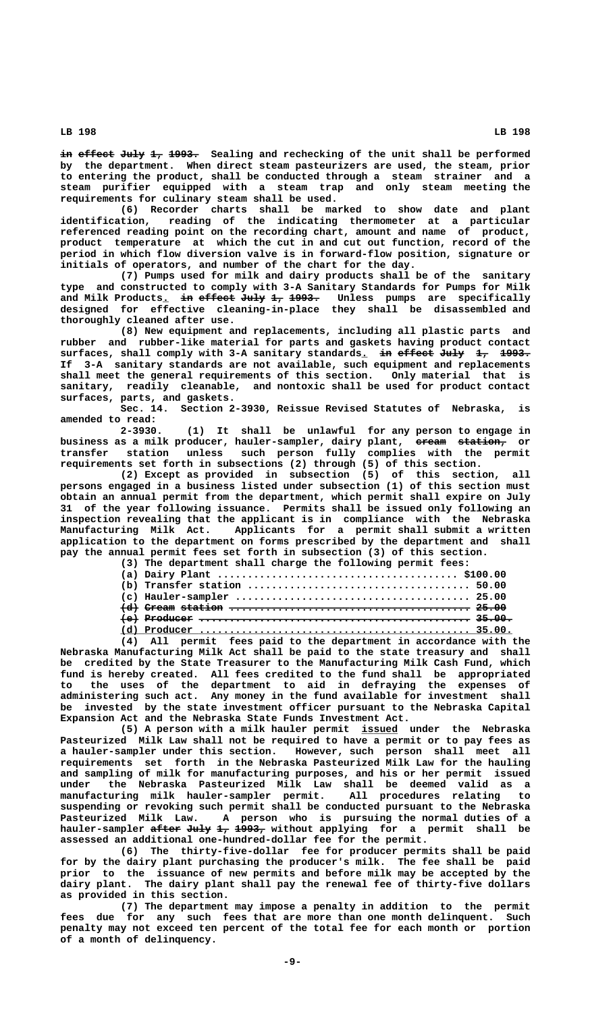in effect July 1, 1993. Sealing and rechecking of the unit shall be performed **by the department. When direct steam pasteurizers are used, the steam, prior to entering the product, shall be conducted through a steam strainer and a steam purifier equipped with a steam trap and only steam meeting the requirements for culinary steam shall be used.**

**(6) Recorder charts shall be marked to show date and plant identification, reading of the indicating thermometer at a particular referenced reading point on the recording chart, amount and name of product, product temperature at which the cut in and cut out function, record of the period in which flow diversion valve is in forward-flow position, signature or initials of operators, and number of the chart for the day.**

**(7) Pumps used for milk and dairy products shall be of the sanitary type and constructed to comply with 3-A Sanitary Standards for Pumps for Milk and Milk Products. in effect July 1, 1993. Unless pumps are specifically \_ —— —————— ———— —— ———— designed for effective cleaning-in-place they shall be disassembled and thoroughly cleaned after use.**

**(8) New equipment and replacements, including all plastic parts and rubber and rubber-like material for parts and gaskets having product contact** surfaces, shall comply with 3-A sanitary standards. in effect July 1, 1993. **If 3-A sanitary standards are not available, such equipment and replacements shall meet the general requirements of this section. Only material that is sanitary, readily cleanable, and nontoxic shall be used for product contact surfaces, parts, and gaskets.**

**Sec. 14. Section 2-3930, Reissue Revised Statutes of Nebraska, is amended to read:**

**2-3930. (1) It shall be unlawful for any person to engage in** business as a milk producer, hauler-sampler, dairy plant, <del>cream station,</del> or **transfer station unless such person fully complies with the permit requirements set forth in subsections (2) through (5) of this section.**

**(2) Except as provided in subsection (5) of this section, all persons engaged in a business listed under subsection (1) of this section must obtain an annual permit from the department, which permit shall expire on July 31 of the year following issuance. Permits shall be issued only following an inspection revealing that the applicant is in compliance with the Nebraska Manufacturing Milk Act. Applicants for a permit shall submit a written application to the department on forms prescribed by the department and shall pay the annual permit fees set forth in subsection (3) of this section.**

| (3) The department shall charge the following permit fees:                                                                                                                                                                     |
|--------------------------------------------------------------------------------------------------------------------------------------------------------------------------------------------------------------------------------|
|                                                                                                                                                                                                                                |
|                                                                                                                                                                                                                                |
|                                                                                                                                                                                                                                |
|                                                                                                                                                                                                                                |
|                                                                                                                                                                                                                                |
|                                                                                                                                                                                                                                |
| and the second second the second contract of the second contract of the company of the second second second second second second second second second second second second second second second second second second second se |

**(4) All permit fees paid to the department in accordance with the Nebraska Manufacturing Milk Act shall be paid to the state treasury and shall be credited by the State Treasurer to the Manufacturing Milk Cash Fund, which fund is hereby created. All fees credited to the fund shall be appropriated to the uses of the department to aid in defraying the expenses of administering such act. Any money in the fund available for investment shall be invested by the state investment officer pursuant to the Nebraska Capital Expansion Act and the Nebraska State Funds Investment Act.**

**(5) A person with a milk hauler permit issued under the Nebraska \_\_\_\_\_\_ Pasteurized Milk Law shall not be required to have a permit or to pay fees as a hauler-sampler under this section. However, such person shall meet all requirements set forth in the Nebraska Pasteurized Milk Law for the hauling and sampling of milk for manufacturing purposes, and his or her permit issued under the Nebraska Pasteurized Milk Law shall be deemed valid as a** manufacturing milk hauler-sampler permit. **suspending or revoking such permit shall be conducted pursuant to the Nebraska Pasteurized Milk Law. A person who is pursuing the normal duties of a hauler-sampler after July 1, 1993, without applying for a permit shall be ————— ———— —— ———— assessed an additional one-hundred-dollar fee for the permit.**

**(6) The thirty-five-dollar fee for producer permits shall be paid for by the dairy plant purchasing the producer's milk. The fee shall be paid prior to the issuance of new permits and before milk may be accepted by the dairy plant. The dairy plant shall pay the renewal fee of thirty-five dollars as provided in this section.**

**(7) The department may impose a penalty in addition to the permit fees due for any such fees that are more than one month delinquent. Such penalty may not exceed ten percent of the total fee for each month or portion of a month of delinquency.**